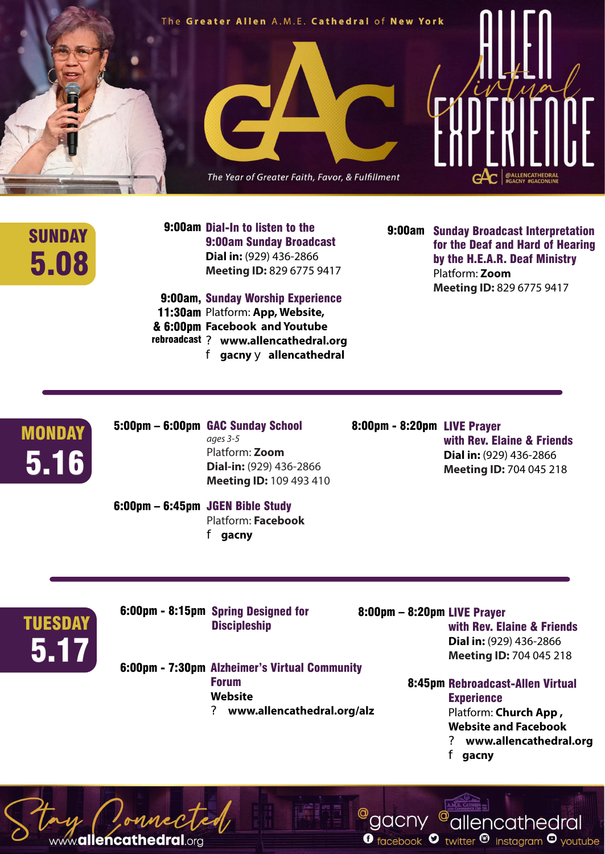

## 5.08

SUNDAY 9:00am Dial-In to listen to the 9:00am<br>9:00am Sunday Broadcast 9:00am Sunday Broadcast **Dial in:** (929) 436-2866 **Meeting ID:** 829 6775 9417

> 9:00am, Sunday Worship Experience 11:30am Platform: App, Website, **Facebook and Youtube** & 6:00pm ? **www.allencathedral.org** rebroadcast f **gacny** y **allencathedral**

9:00am Sunday Broadcast Interpretation for the Deaf and Hard of Hearing by the H.E.A.R. Deaf Ministry Platform: **Zoom Meeting ID:** 829 6775 9417

 $5.16$ **MONDAY**  5:00pm – 6:00pm GAC Sunday School *ages 3-5* Platform: **Zoom Dial-in:** (929) 436-2866 **Meeting ID:** 109 493 410

6:00pm – 6:45pm JGEN Bible Study Platform: **Facebook**

f **gacny** 

8:00pm - 8:20pm LIVE Prayer with Rev. Elaine & Friends **Dial in:** (929) 436-2866 **Meeting ID:** 704 045 218

5.17 **TUESDAY** 

6:00pm - 8:15pm Spring Designed for **Discipleship** 

mecTed

www.allencathedral.org

6:00pm - 7:30pm Alzheimer's Virtual Community Forum **Website**  ? **www.allencathedral.org/alz**

 8:00pm – 8:20pm LIVE Prayer with Rev. Elaine & Friends **Dial in:** (929) 436-2866 **Meeting ID:** 704 045 218

> 8:45pm Rebroadcast-Allen Virtual **Experience**

Platform: **Church App , Website and Facebook** ? **www.allencathedral.org**

f **gacny**

<sup>@</sup>gacny <sup>@</sup>allencathedral

**O** facebook  $\bullet$  twitter  $\bullet$  instagram  $\bullet$  youtube